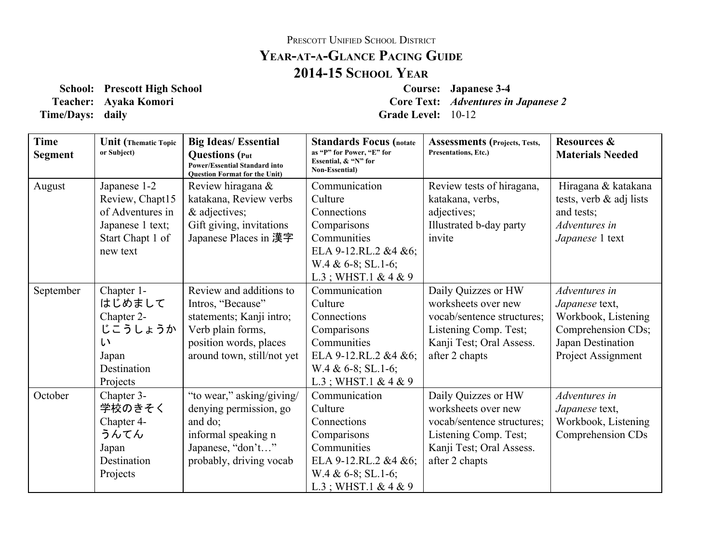## PRESCOTT UNIFIED SCHOOL DISTRICT **YEARATAGLANCE PACING GUIDE 201415 SCHOOL YEAR**

**School: Prescott High School Course: Japanese 34 Teacher: Ayaka Komori Core Text:** *Adventures in Japanese 2* **Time/Days:** daily **Grade** Level:  $10-12$ 

| <b>Time</b><br><b>Segment</b> | <b>Unit</b> (Thematic Topic<br>or Subject)                                                              | <b>Big Ideas/Essential</b><br><b>Questions</b> (Put<br><b>Power/Essential Standard into</b><br><b>Question Format for the Unit)</b>                   | <b>Standards Focus (notate</b><br>as "P" for Power, "E" for<br>Essential, & "N" for<br>Non-Essential)                                             | <b>Assessments</b> (Projects, Tests,<br><b>Presentations, Etc.)</b>                                                                             | <b>Resources &amp;</b><br><b>Materials Needed</b>                                                                       |
|-------------------------------|---------------------------------------------------------------------------------------------------------|-------------------------------------------------------------------------------------------------------------------------------------------------------|---------------------------------------------------------------------------------------------------------------------------------------------------|-------------------------------------------------------------------------------------------------------------------------------------------------|-------------------------------------------------------------------------------------------------------------------------|
| August                        | Japanese 1-2<br>Review, Chapt15<br>of Adventures in<br>Japanese 1 text;<br>Start Chapt 1 of<br>new text | Review hiragana &<br>katakana, Review verbs<br>& adjectives;<br>Gift giving, invitations<br>Japanese Places in 漢字                                     | Communication<br>Culture<br>Connections<br>Comparisons<br>Communities<br>ELA 9-12.RL.2 &4 &6;<br>$W.4 \& 6-8$ ; SL.1-6;<br>$L.3$ ; WHST.1 & 4 & 9 | Review tests of hiragana,<br>katakana, verbs,<br>adjectives;<br>Illustrated b-day party<br>invite                                               | Hiragana & katakana<br>tests, verb $\&$ adj lists<br>and tests;<br>Adventures in<br>Japanese 1 text                     |
| September                     | Chapter 1-<br>はじめまして<br>Chapter 2-<br>じこうしょうか<br>い<br>Japan<br>Destination<br>Projects                  | Review and additions to<br>Intros, "Because"<br>statements; Kanji intro;<br>Verb plain forms,<br>position words, places<br>around town, still/not yet | Communication<br>Culture<br>Connections<br>Comparisons<br>Communities<br>ELA 9-12.RL.2 &4 &6;<br>$W.4 & 6-8$ ; SL.1-6;<br>$L.3$ ; WHST.1 & 4 & 9  | Daily Quizzes or HW<br>worksheets over new<br>vocab/sentence structures;<br>Listening Comp. Test;<br>Kanji Test; Oral Assess.<br>after 2 chapts | Adventures in<br>Japanese text,<br>Workbook, Listening<br>Comprehension CDs;<br>Japan Destination<br>Project Assignment |
| October                       | Chapter 3-<br>学校のきそく<br>Chapter 4-<br>うんてん<br>Japan<br>Destination<br>Projects                          | "to wear," asking/giving/<br>denying permission, go<br>and do;<br>informal speaking n<br>Japanese, "don't"<br>probably, driving vocab                 | Communication<br>Culture<br>Connections<br>Comparisons<br>Communities<br>ELA 9-12.RL.2 &4 &6;<br>$W.4 & 6-8$ ; SL.1-6;<br>$L.3$ ; WHST.1 & 4 & 9  | Daily Quizzes or HW<br>worksheets over new<br>vocab/sentence structures;<br>Listening Comp. Test;<br>Kanji Test; Oral Assess.<br>after 2 chapts | Adventures in<br>Japanese text,<br>Workbook, Listening<br>Comprehension CDs                                             |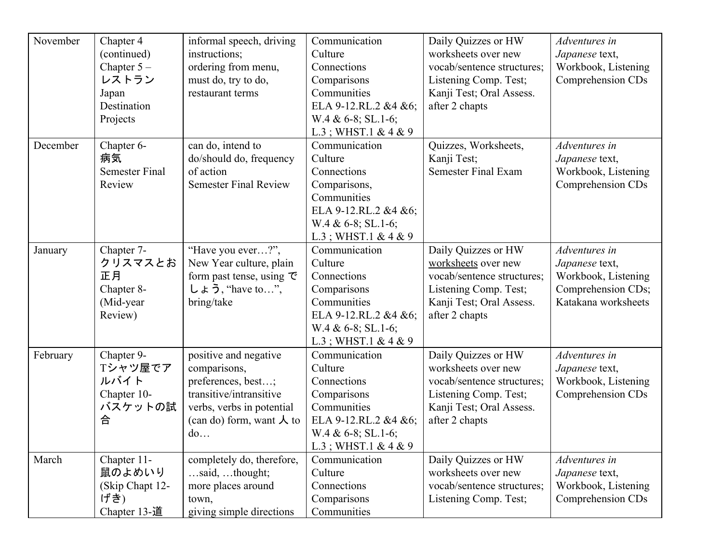| November | Chapter 4<br>(continued)<br>Chapter $5-$<br>レストラン<br>Japan<br>Destination<br>Projects | informal speech, driving<br>instructions;<br>ordering from menu,<br>must do, try to do,<br>restaurant terms                                                   | Communication<br>Culture<br>Connections<br>Comparisons<br>Communities<br>ELA 9-12.RL.2 &4 &6;<br>$W.4 & 6-8$ ; SL.1-6;<br>$L.3$ ; WHST.1 & 4 & 9  | Daily Quizzes or HW<br>worksheets over new<br>vocab/sentence structures;<br>Listening Comp. Test;<br>Kanji Test; Oral Assess.<br>after 2 chapts | Adventures in<br>Japanese text,<br>Workbook, Listening<br>Comprehension CDs                         |
|----------|---------------------------------------------------------------------------------------|---------------------------------------------------------------------------------------------------------------------------------------------------------------|---------------------------------------------------------------------------------------------------------------------------------------------------|-------------------------------------------------------------------------------------------------------------------------------------------------|-----------------------------------------------------------------------------------------------------|
| December | Chapter 6-<br>病気<br><b>Semester Final</b><br>Review                                   | can do, intend to<br>do/should do, frequency<br>of action<br><b>Semester Final Review</b>                                                                     | Communication<br>Culture<br>Connections<br>Comparisons,<br>Communities<br>ELA 9-12.RL.2 &4 &6;<br>$W.4 & 6-8$ ; SL.1-6;<br>$L.3$ ; WHST.1 & 4 & 9 | Quizzes, Worksheets,<br>Kanji Test;<br><b>Semester Final Exam</b>                                                                               | Adventures in<br>Japanese text,<br>Workbook, Listening<br>Comprehension CDs                         |
| January  | Chapter 7-<br>クリスマスとお<br>正月<br>Chapter 8-<br>(Mid-year<br>Review)                     | "Have you ever?",<br>New Year culture, plain<br>form past tense, using $\mathcal{\overline{C}}$<br>$L \neq \overline{2}$ , "have to",<br>bring/take           | Communication<br>Culture<br>Connections<br>Comparisons<br>Communities<br>ELA 9-12.RL.2 &4 &6;<br>$W.4 & 6-8$ ; SL.1-6;<br>$L.3$ ; WHST.1 & 4 & 9  | Daily Quizzes or HW<br>worksheets over new<br>vocab/sentence structures;<br>Listening Comp. Test;<br>Kanji Test; Oral Assess.<br>after 2 chapts | Adventures in<br>Japanese text,<br>Workbook, Listening<br>Comprehension CDs;<br>Katakana worksheets |
| February | Chapter 9-<br>Tシャツ屋でア<br>ルバイト<br>Chapter 10-<br>バスケットの試<br>合                          | positive and negative<br>comparisons,<br>preferences, best;<br>transitive/intransitive<br>verbs, verbs in potential<br>(can do) form, want $\lambda$ to<br>do | Communication<br>Culture<br>Connections<br>Comparisons<br>Communities<br>ELA 9-12.RL.2 &4 &6;<br>W.4 & 6-8; SL.1-6;<br>$L.3$ ; WHST.1 & 4 & 9     | Daily Quizzes or HW<br>worksheets over new<br>vocab/sentence structures;<br>Listening Comp. Test;<br>Kanji Test; Oral Assess.<br>after 2 chapts | Adventures in<br>Japanese text,<br>Workbook, Listening<br>Comprehension CDs                         |
| March    | Chapter 11-<br>鼠のよめいり<br>(Skip Chapt 12-<br>げき)<br>Chapter 13-道                       | completely do, therefore,<br>$$ said, thought;<br>more places around<br>town,<br>giving simple directions                                                     | Communication<br>Culture<br>Connections<br>Comparisons<br>Communities                                                                             | Daily Quizzes or HW<br>worksheets over new<br>vocab/sentence structures;<br>Listening Comp. Test;                                               | Adventures in<br>Japanese text,<br>Workbook, Listening<br>Comprehension CDs                         |